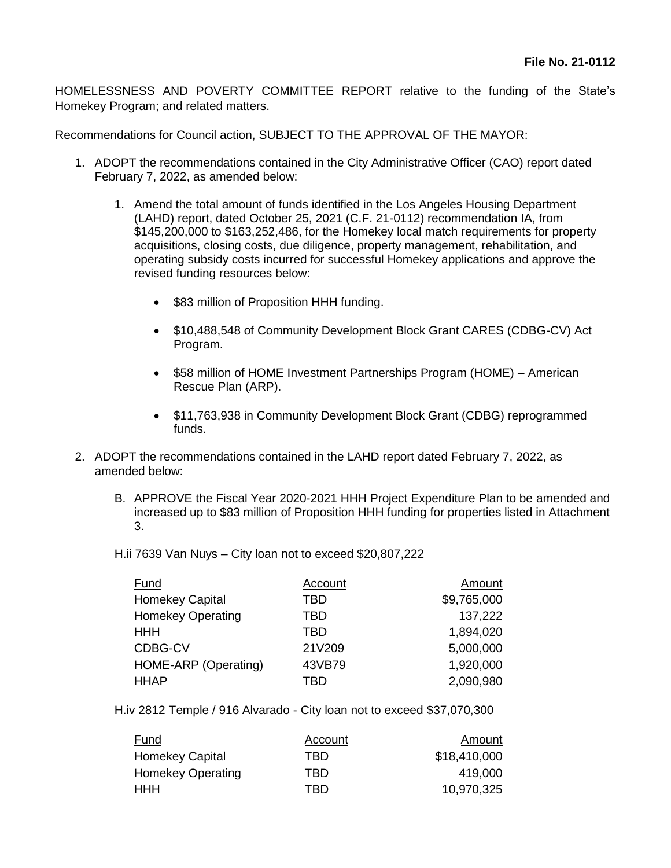HOMELESSNESS AND POVERTY COMMITTEE REPORT relative to the funding of the State's Homekey Program; and related matters.

Recommendations for Council action, SUBJECT TO THE APPROVAL OF THE MAYOR:

- 1. ADOPT the recommendations contained in the City Administrative Officer (CAO) report dated February 7, 2022, as amended below:
	- 1. Amend the total amount of funds identified in the Los Angeles Housing Department (LAHD) report, dated October 25, 2021 (C.F. 21-0112) recommendation IA, from \$145,200,000 to \$163,252,486, for the Homekey local match requirements for property acquisitions, closing costs, due diligence, property management, rehabilitation, and operating subsidy costs incurred for successful Homekey applications and approve the revised funding resources below:
		- \$83 million of Proposition HHH funding.
		- \$10,488,548 of Community Development Block Grant CARES (CDBG-CV) Act Program.
		- \$58 million of HOME Investment Partnerships Program (HOME) American Rescue Plan (ARP).
		- \$11,763,938 in Community Development Block Grant (CDBG) reprogrammed funds.
- 2. ADOPT the recommendations contained in the LAHD report dated February 7, 2022, as amended below:
	- B. APPROVE the Fiscal Year 2020-2021 HHH Project Expenditure Plan to be amended and increased up to \$83 million of Proposition HHH funding for properties listed in Attachment 3.
	- H.ii 7639 Van Nuys City loan not to exceed \$20,807,222

| Fund                     | Account | Amount      |
|--------------------------|---------|-------------|
| <b>Homekey Capital</b>   | TBD     | \$9,765,000 |
| <b>Homekey Operating</b> | TBD     | 137,222     |
| HHH                      | TBD     | 1,894,020   |
| CDBG-CV                  | 21V209  | 5,000,000   |
| HOME-ARP (Operating)     | 43VB79  | 1,920,000   |
| <b>HHAP</b>              | TBD     | 2,090,980   |

H.iv 2812 Temple / 916 Alvarado - City loan not to exceed \$37,070,300

| <u>Fund</u>              | Account | Amount       |
|--------------------------|---------|--------------|
| <b>Homekey Capital</b>   | TBD     | \$18,410,000 |
| <b>Homekey Operating</b> | TRD     | 419,000      |
| <b>HHH</b>               | TRD     | 10,970,325   |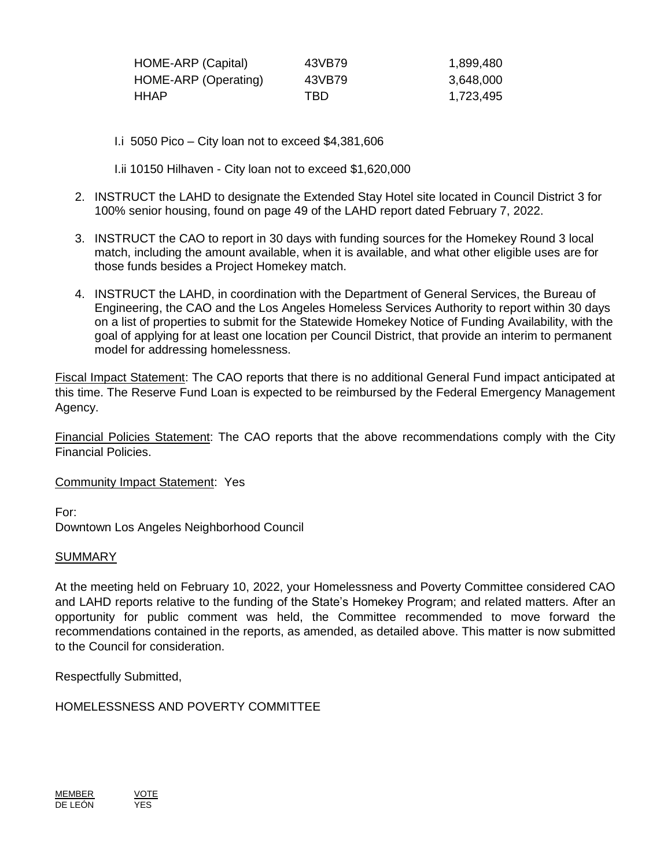| HOME-ARP (Capital)   | 43VB79 | 1,899,480 |
|----------------------|--------|-----------|
| HOME-ARP (Operating) | 43VB79 | 3,648,000 |
| HHAP.                | TBD    | 1,723,495 |

- I.i 5050 Pico City loan not to exceed \$4,381,606
- I.ii 10150 Hilhaven City loan not to exceed \$1,620,000
- 2. INSTRUCT the LAHD to designate the Extended Stay Hotel site located in Council District 3 for 100% senior housing, found on page 49 of the LAHD report dated February 7, 2022.
- 3. INSTRUCT the CAO to report in 30 days with funding sources for the Homekey Round 3 local match, including the amount available, when it is available, and what other eligible uses are for those funds besides a Project Homekey match.
- 4. INSTRUCT the LAHD, in coordination with the Department of General Services, the Bureau of Engineering, the CAO and the Los Angeles Homeless Services Authority to report within 30 days on a list of properties to submit for the Statewide Homekey Notice of Funding Availability, with the goal of applying for at least one location per Council District, that provide an interim to permanent model for addressing homelessness.

Fiscal Impact Statement: The CAO reports that there is no additional General Fund impact anticipated at this time. The Reserve Fund Loan is expected to be reimbursed by the Federal Emergency Management Agency.

Financial Policies Statement: The CAO reports that the above recommendations comply with the City Financial Policies.

Community Impact Statement: Yes

For:

Downtown Los Angeles Neighborhood Council

## SUMMARY

At the meeting held on February 10, 2022, your Homelessness and Poverty Committee considered CAO and LAHD reports relative to the funding of the State's Homekey Program; and related matters. After an opportunity for public comment was held, the Committee recommended to move forward the recommendations contained in the reports, as amended, as detailed above. This matter is now submitted to the Council for consideration.

Respectfully Submitted,

HOMELESSNESS AND POVERTY COMMITTEE

<u>MEMBER</u> <u>VOTE</u><br>DE LEÓN YES DE LEÓN